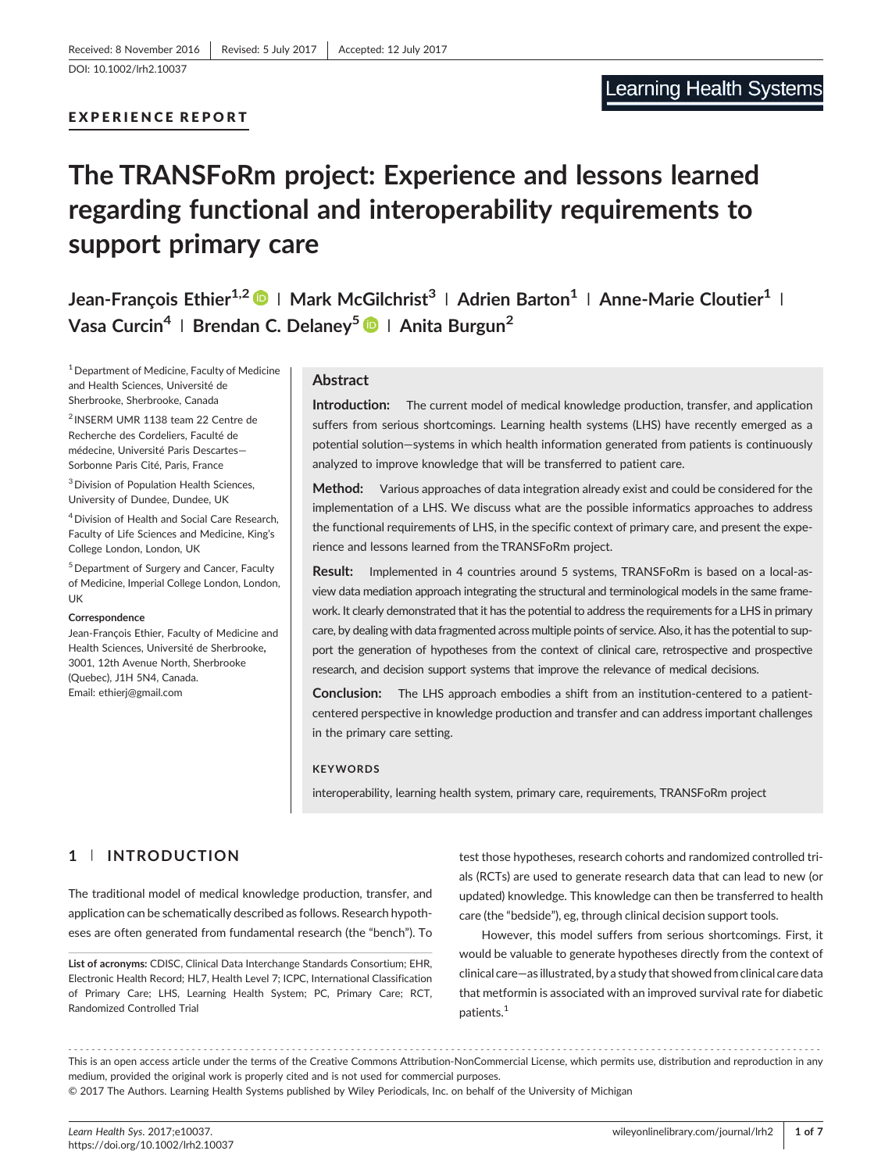# The TRANSFoRm project: Experience and lessons learned regarding functional and interoperability requirements to support primary care

Jean-Francois Ethier<sup>1,2</sup>  $\bigcirc$  | Mark McGilchrist<sup>3</sup> | Adrien Barton<sup>1</sup> | Anne-Marie Cloutier<sup>1</sup> | Vasa Curcin<sup>4</sup> | Brendan C. Delanev<sup>5</sup>  $\bullet$  | Anita Burgun<sup>2</sup>

<sup>1</sup> Department of Medicine, Faculty of Medicine and Health Sciences, Université de Sherbrooke, Sherbrooke, Canada

<sup>2</sup> INSERM UMR 1138 team 22 Centre de Recherche des Cordeliers, Faculté de médecine, Université Paris Descartes— Sorbonne Paris Cité, Paris, France

3Division of Population Health Sciences, University of Dundee, Dundee, UK

4Division of Health and Social Care Research, Faculty of Life Sciences and Medicine, King's College London, London, UK

5Department of Surgery and Cancer, Faculty of Medicine, Imperial College London, London, UK

#### **Correspondence**

Jean‐François Ethier, Faculty of Medicine and Health Sciences, Université de Sherbrooke, 3001, 12th Avenue North, Sherbrooke (Quebec), J1H 5N4, Canada. Email: [ethierj@gmail.com](mailto:ethierj@gmail.com)

## **Abstract**

Introduction: The current model of medical knowledge production, transfer, and application suffers from serious shortcomings. Learning health systems (LHS) have recently emerged as a potential solution—systems in which health information generated from patients is continuously analyzed to improve knowledge that will be transferred to patient care.

Method: Various approaches of data integration already exist and could be considered for the implementation of a LHS. We discuss what are the possible informatics approaches to address the functional requirements of LHS, in the specific context of primary care, and present the experience and lessons learned from the TRANSFoRm project.

Result: Implemented in 4 countries around 5 systems, TRANSFoRm is based on a local‐as‐ view data mediation approach integrating the structural and terminological models in the same framework. It clearly demonstrated that it has the potential to address the requirements for a LHS in primary care, by dealing with data fragmented across multiple points of service. Also, it has the potential to support the generation of hypotheses from the context of clinical care, retrospective and prospective research, and decision support systems that improve the relevance of medical decisions.

**Conclusion:** The LHS approach embodies a shift from an institution-centered to a patientcentered perspective in knowledge production and transfer and can address important challenges in the primary care setting.

#### **KEYWORDS**

interoperability, learning health system, primary care, requirements, TRANSFoRm project

# 1 | INTRODUCTION

The traditional model of medical knowledge production, transfer, and application can be schematically described as follows. Research hypotheses are often generated from fundamental research (the "bench"). To

List of acronyms: CDISC, Clinical Data Interchange Standards Consortium; EHR, Electronic Health Record; HL7, Health Level 7; ICPC, International Classification of Primary Care; LHS, Learning Health System; PC, Primary Care; RCT, Randomized Controlled Trial

test those hypotheses, research cohorts and randomized controlled trials (RCTs) are used to generate research data that can lead to new (or updated) knowledge. This knowledge can then be transferred to health care (the "bedside"), eg, through clinical decision support tools.

However, this model suffers from serious shortcomings. First, it would be valuable to generate hypotheses directly from the context of clinical care—as illustrated, by a study that showed from clinical care data that metformin is associated with an improved survival rate for diabetic patients.1

------------------------------------------------------------------------------------------------------------------------------- - This is an open access article under the terms of the [Creative Commons Attribution](http://creativecommons.org/licenses/by-nc/4.0/)‐NonCommercial License, which permits use, distribution and reproduction in any medium, provided the original work is properly cited and is not used for commercial purposes.

© 2017 The Authors. Learning Health Systems published by Wiley Periodicals, Inc. on behalf of the University of Michigan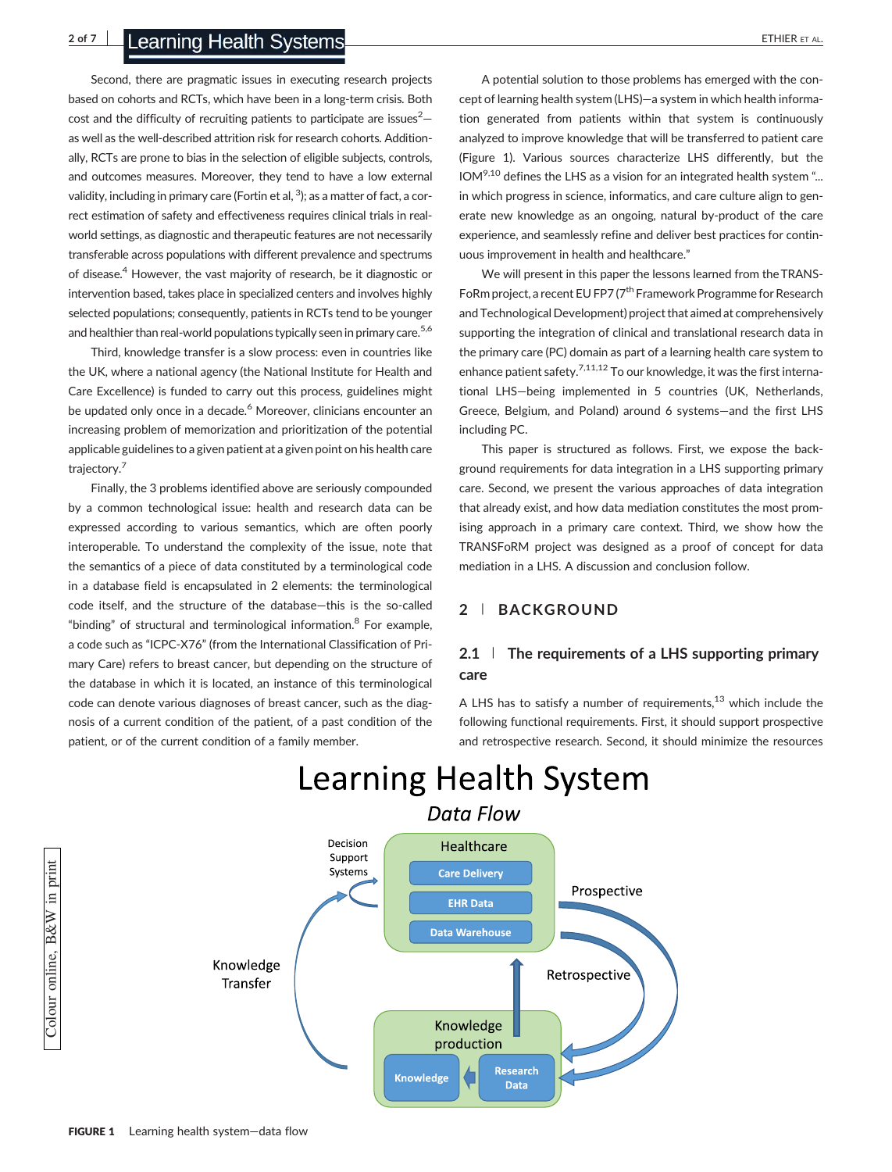Second, there are pragmatic issues in executing research projects based on cohorts and RCTs, which have been in a long‐term crisis. Both cost and the difficulty of recruiting patients to participate are issues $^2$ as well as the well‐described attrition risk for research cohorts. Additionally, RCTs are prone to bias in the selection of eligible subjects, controls, and outcomes measures. Moreover, they tend to have a low external validity, including in primary care (Fortin et al,  $^3$ ); as a matter of fact, a correct estimation of safety and effectiveness requires clinical trials in real‐ world settings, as diagnostic and therapeutic features are not necessarily transferable across populations with different prevalence and spectrums of disease.<sup>4</sup> However, the vast majority of research, be it diagnostic or intervention based, takes place in specialized centers and involves highly selected populations; consequently, patients in RCTs tend to be younger and healthier than real-world populations typically seen in primary care.<sup>5,6</sup>

Third, knowledge transfer is a slow process: even in countries like the UK, where a national agency (the National Institute for Health and Care Excellence) is funded to carry out this process, guidelines might be updated only once in a decade.<sup>6</sup> Moreover, clinicians encounter an increasing problem of memorization and prioritization of the potential applicable guidelines to a given patient at a given point on his health care trajectory.<sup>7</sup>

Finally, the 3 problems identified above are seriously compounded by a common technological issue: health and research data can be expressed according to various semantics, which are often poorly interoperable. To understand the complexity of the issue, note that the semantics of a piece of data constituted by a terminological code in a database field is encapsulated in 2 elements: the terminological code itself, and the structure of the database-this is the so-called "binding" of structural and terminological information.<sup>8</sup> For example, a code such as "ICPC‐X76" (from the International Classification of Primary Care) refers to breast cancer, but depending on the structure of the database in which it is located, an instance of this terminological code can denote various diagnoses of breast cancer, such as the diagnosis of a current condition of the patient, of a past condition of the patient, or of the current condition of a family member.

A potential solution to those problems has emerged with the concept of learning health system (LHS)—a system in which health information generated from patients within that system is continuously analyzed to improve knowledge that will be transferred to patient care (Figure 1). Various sources characterize LHS differently, but the  $10M<sup>9,10</sup>$  defines the LHS as a vision for an integrated health system "... in which progress in science, informatics, and care culture align to generate new knowledge as an ongoing, natural by‐product of the care experience, and seamlessly refine and deliver best practices for continuous improvement in health and healthcare."

We will present in this paper the lessons learned from the TRANS-FoRm project, a recent EU FP7 ( $7<sup>th</sup>$  Framework Programme for Research and Technological Development) project that aimed at comprehensively supporting the integration of clinical and translational research data in the primary care (PC) domain as part of a learning health care system to enhance patient safety.<sup>7,11,12</sup> To our knowledge, it was the first international LHS—being implemented in 5 countries (UK, Netherlands, Greece, Belgium, and Poland) around 6 systems—and the first LHS including PC.

This paper is structured as follows. First, we expose the background requirements for data integration in a LHS supporting primary care. Second, we present the various approaches of data integration that already exist, and how data mediation constitutes the most promising approach in a primary care context. Third, we show how the TRANSFoRM project was designed as a proof of concept for data mediation in a LHS. A discussion and conclusion follow.

## 2 | BACKGROUND

## 2.1  $\parallel$  The requirements of a LHS supporting primary care

A LHS has to satisfy a number of requirements, $13$  which include the following functional requirements. First, it should support prospective and retrospective research. Second, it should minimize the resources

# **Learning Health System**



Colour online, B&W in print

Colour online, B&W in print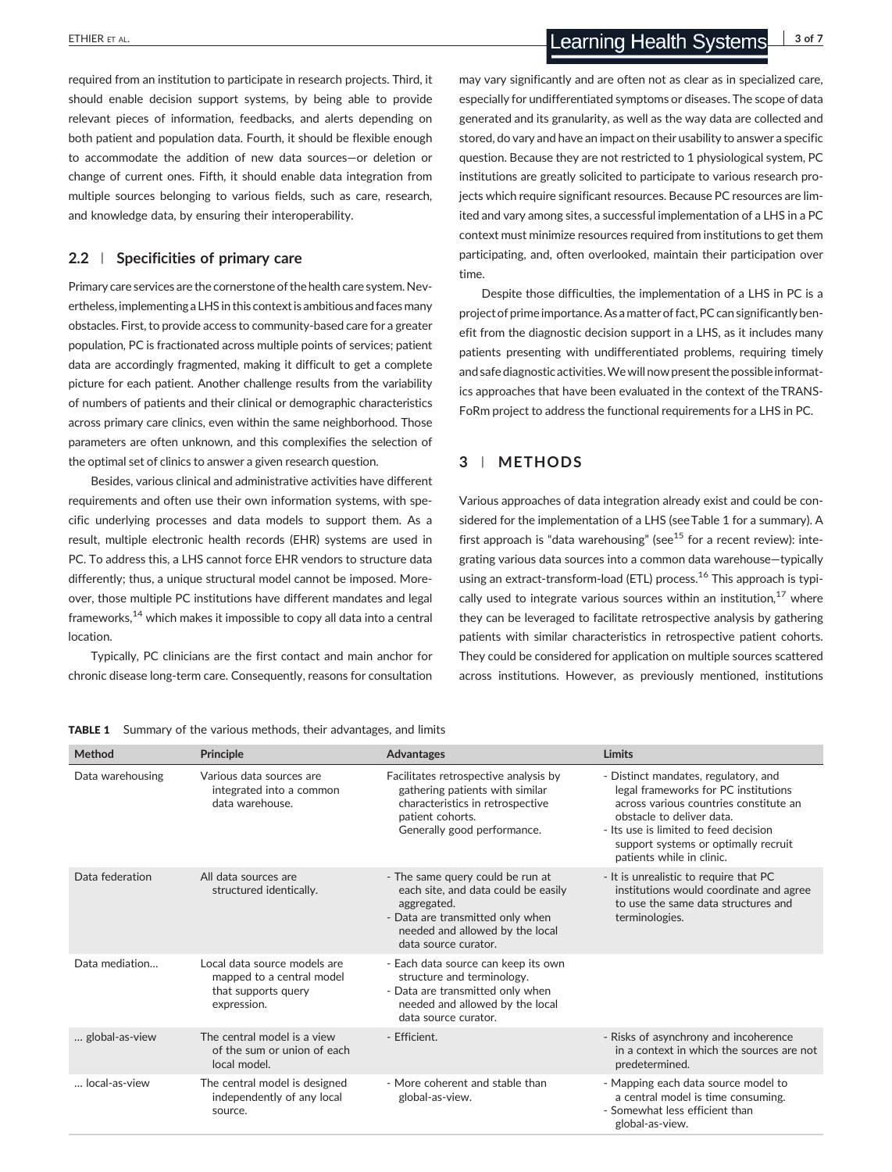required from an institution to participate in research projects. Third, it should enable decision support systems, by being able to provide relevant pieces of information, feedbacks, and alerts depending on both patient and population data. Fourth, it should be flexible enough to accommodate the addition of new data sources—or deletion or change of current ones. Fifth, it should enable data integration from multiple sources belonging to various fields, such as care, research, and knowledge data, by ensuring their interoperability.

### 2.2 Specificities of primary care

Primary care services are the cornerstone of the health care system. Nevertheless, implementing a LHS in this context is ambitious and faces many obstacles. First, to provide access to community‐based care for a greater population, PC is fractionated across multiple points of services; patient data are accordingly fragmented, making it difficult to get a complete picture for each patient. Another challenge results from the variability of numbers of patients and their clinical or demographic characteristics across primary care clinics, even within the same neighborhood. Those parameters are often unknown, and this complexifies the selection of the optimal set of clinics to answer a given research question.

Besides, various clinical and administrative activities have different requirements and often use their own information systems, with specific underlying processes and data models to support them. As a result, multiple electronic health records (EHR) systems are used in PC. To address this, a LHS cannot force EHR vendors to structure data differently; thus, a unique structural model cannot be imposed. Moreover, those multiple PC institutions have different mandates and legal frameworks,<sup>14</sup> which makes it impossible to copy all data into a central location.

Typically, PC clinicians are the first contact and main anchor for chronic disease long‐term care. Consequently, reasons for consultation

may vary significantly and are often not as clear as in specialized care, especially for undifferentiated symptoms or diseases. The scope of data generated and its granularity, as well as the way data are collected and stored, do vary and have an impact on their usability to answer a specific question. Because they are not restricted to 1 physiological system, PC institutions are greatly solicited to participate to various research projects which require significant resources. Because PC resources are limited and vary among sites, a successful implementation of a LHS in a PC context must minimize resources required from institutions to get them participating, and, often overlooked, maintain their participation over time.

Despite those difficulties, the implementation of a LHS in PC is a project of prime importance. As a matter of fact, PC can significantly benefit from the diagnostic decision support in a LHS, as it includes many patients presenting with undifferentiated problems, requiring timely and safe diagnostic activities.We will now present the possible informatics approaches that have been evaluated in the context of the TRANS-FoRm project to address the functional requirements for a LHS in PC.

### 3 | METHODS

Various approaches of data integration already exist and could be considered for the implementation of a LHS (see Table 1 for a summary). A first approach is "data warehousing" (see<sup>15</sup> for a recent review): integrating various data sources into a common data warehouse—typically using an extract-transform-load (ETL) process.<sup>16</sup> This approach is typically used to integrate various sources within an institution, $17$  where they can be leveraged to facilitate retrospective analysis by gathering patients with similar characteristics in retrospective patient cohorts. They could be considered for application on multiple sources scattered across institutions. However, as previously mentioned, institutions

| Method           | <b>Principle</b>                                                                                | <b>Advantages</b>                                                                                                                                                                     | Limits                                                                                                                                                                                                                                                            |
|------------------|-------------------------------------------------------------------------------------------------|---------------------------------------------------------------------------------------------------------------------------------------------------------------------------------------|-------------------------------------------------------------------------------------------------------------------------------------------------------------------------------------------------------------------------------------------------------------------|
| Data warehousing | Various data sources are<br>integrated into a common<br>data warehouse.                         | Facilitates retrospective analysis by<br>gathering patients with similar<br>characteristics in retrospective<br>patient cohorts.<br>Generally good performance.                       | - Distinct mandates, regulatory, and<br>legal frameworks for PC institutions<br>across various countries constitute an<br>obstacle to deliver data.<br>- Its use is limited to feed decision<br>support systems or optimally recruit<br>patients while in clinic. |
| Data federation  | All data sources are<br>structured identically.                                                 | - The same query could be run at<br>each site, and data could be easily<br>aggregated.<br>- Data are transmitted only when<br>needed and allowed by the local<br>data source curator. | - It is unrealistic to require that PC<br>institutions would coordinate and agree<br>to use the same data structures and<br>terminologies.                                                                                                                        |
| Data mediation   | Local data source models are<br>mapped to a central model<br>that supports query<br>expression. | - Each data source can keep its own<br>structure and terminology.<br>- Data are transmitted only when<br>needed and allowed by the local<br>data source curator.                      |                                                                                                                                                                                                                                                                   |
| global-as-view   | The central model is a view<br>of the sum or union of each<br>local model.                      | - Efficient.                                                                                                                                                                          | - Risks of asynchrony and incoherence<br>in a context in which the sources are not<br>predetermined.                                                                                                                                                              |
| local-as-view    | The central model is designed<br>independently of any local<br>source.                          | - More coherent and stable than<br>global-as-view.                                                                                                                                    | - Mapping each data source model to<br>a central model is time consuming.<br>- Somewhat less efficient than<br>global-as-view.                                                                                                                                    |

TABLE 1 Summary of the various methods, their advantages, and limits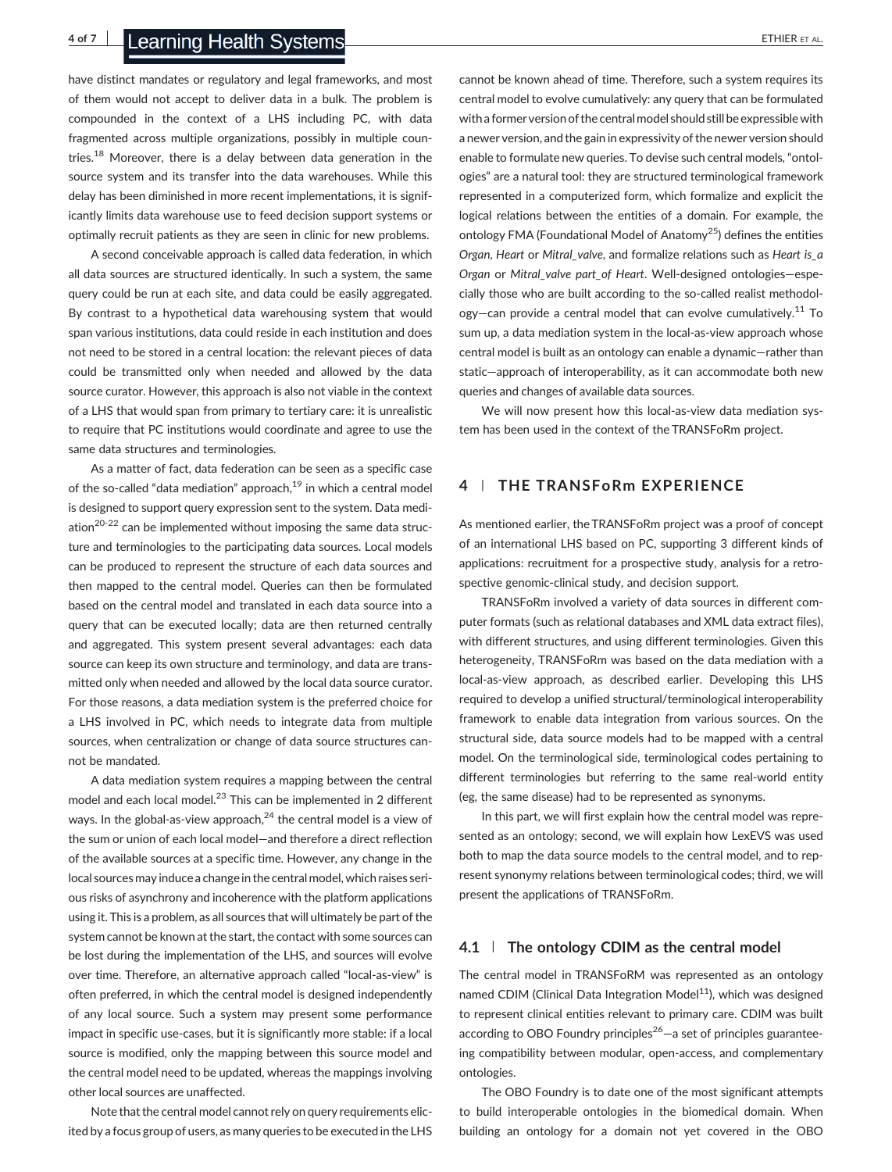4 of 7 Learning Health Systems **Expanditure Control Control Control** Control Control Control Control Control Control Control Control Control Control Control Control Control Control Control Control Control Control Control C

have distinct mandates or regulatory and legal frameworks, and most of them would not accept to deliver data in a bulk. The problem is compounded in the context of a LHS including PC, with data fragmented across multiple organizations, possibly in multiple countries.<sup>18</sup> Moreover, there is a delay between data generation in the source system and its transfer into the data warehouses. While this delay has been diminished in more recent implementations, it is significantly limits data warehouse use to feed decision support systems or optimally recruit patients as they are seen in clinic for new problems.

A second conceivable approach is called data federation, in which all data sources are structured identically. In such a system, the same query could be run at each site, and data could be easily aggregated. By contrast to a hypothetical data warehousing system that would span various institutions, data could reside in each institution and does not need to be stored in a central location: the relevant pieces of data could be transmitted only when needed and allowed by the data source curator. However, this approach is also not viable in the context of a LHS that would span from primary to tertiary care: it is unrealistic to require that PC institutions would coordinate and agree to use the same data structures and terminologies.

As a matter of fact, data federation can be seen as a specific case of the so-called "data mediation" approach, $19$  in which a central model is designed to support query expression sent to the system. Data mediation<sup>20-22</sup> can be implemented without imposing the same data structure and terminologies to the participating data sources. Local models can be produced to represent the structure of each data sources and then mapped to the central model. Queries can then be formulated based on the central model and translated in each data source into a query that can be executed locally; data are then returned centrally and aggregated. This system present several advantages: each data source can keep its own structure and terminology, and data are transmitted only when needed and allowed by the local data source curator. For those reasons, a data mediation system is the preferred choice for a LHS involved in PC, which needs to integrate data from multiple sources, when centralization or change of data source structures cannot be mandated.

A data mediation system requires a mapping between the central model and each local model.<sup>23</sup> This can be implemented in 2 different ways. In the global-as-view approach, $^{24}$  the central model is a view of the sum or union of each local model—and therefore a direct reflection of the available sources at a specific time. However, any change in the local sources may induce a change in the central model, which raises serious risks of asynchrony and incoherence with the platform applications using it. This is a problem, as all sources that will ultimately be part of the system cannot be known at the start, the contact with some sources can be lost during the implementation of the LHS, and sources will evolve over time. Therefore, an alternative approach called "local‐as‐view" is often preferred, in which the central model is designed independently of any local source. Such a system may present some performance impact in specific use-cases, but it is significantly more stable: if a local source is modified, only the mapping between this source model and the central model need to be updated, whereas the mappings involving other local sources are unaffected.

Note that the central model cannot rely on query requirements elicited by a focus group of users, as many queries to be executed in the LHS cannot be known ahead of time. Therefore, such a system requires its central model to evolve cumulatively: any query that can be formulated with a former version of the central model should still be expressible with a newer version, and the gain in expressivity of the newer version should enable to formulate new queries. To devise such central models, "ontologies" are a natural tool: they are structured terminological framework represented in a computerized form, which formalize and explicit the logical relations between the entities of a domain. For example, the ontology FMA (Foundational Model of Anatomy25) defines the entities Organ, Heart or Mitral\_valve, and formalize relations such as Heart is\_a Organ or Mitral valve part of Heart. Well-designed ontologies-especially those who are built according to the so-called realist methodology—can provide a central model that can evolve cumulatively.<sup>11</sup> To sum up, a data mediation system in the local-as-view approach whose central model is built as an ontology can enable a dynamic—rather than static—approach of interoperability, as it can accommodate both new queries and changes of available data sources.

We will now present how this local-as-view data mediation system has been used in the context of the TRANSFoRm project.

### 4 | THE TRANSFoRm EXPERIENCE

As mentioned earlier, the TRANSFoRm project was a proof of concept of an international LHS based on PC, supporting 3 different kinds of applications: recruitment for a prospective study, analysis for a retrospective genomic‐clinical study, and decision support.

TRANSFoRm involved a variety of data sources in different computer formats (such as relational databases and XML data extract files), with different structures, and using different terminologies. Given this heterogeneity, TRANSFoRm was based on the data mediation with a local‐as‐view approach, as described earlier. Developing this LHS required to develop a unified structural/terminological interoperability framework to enable data integration from various sources. On the structural side, data source models had to be mapped with a central model. On the terminological side, terminological codes pertaining to different terminologies but referring to the same real‐world entity (eg, the same disease) had to be represented as synonyms.

In this part, we will first explain how the central model was represented as an ontology; second, we will explain how LexEVS was used both to map the data source models to the central model, and to represent synonymy relations between terminological codes; third, we will present the applications of TRANSFoRm.

#### 4.1  $\parallel$  The ontology CDIM as the central model

The central model in TRANSFoRM was represented as an ontology named CDIM (Clinical Data Integration Model $11$ ), which was designed to represent clinical entities relevant to primary care. CDIM was built according to OBO Foundry principles<sup>26</sup> $-$ a set of principles guaranteeing compatibility between modular, open‐access, and complementary ontologies.

The OBO Foundry is to date one of the most significant attempts to build interoperable ontologies in the biomedical domain. When building an ontology for a domain not yet covered in the OBO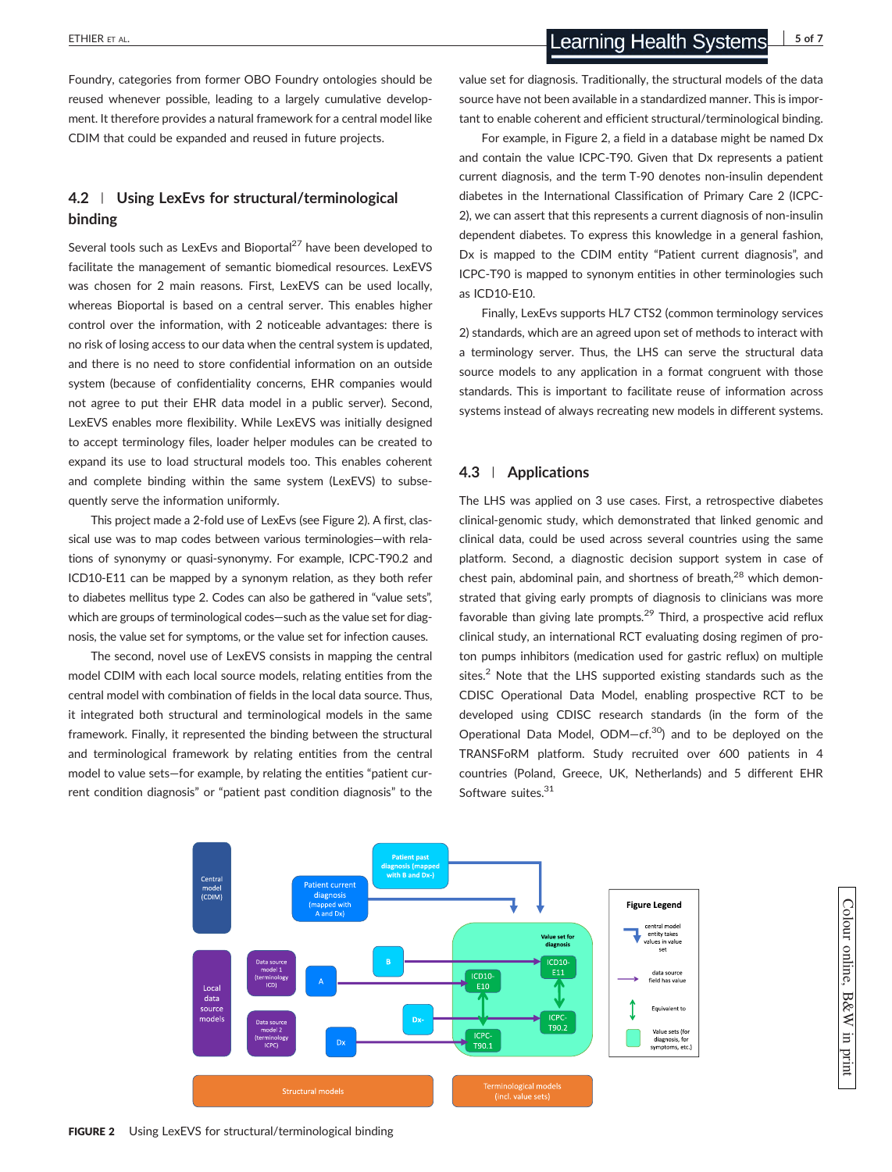Foundry, categories from former OBO Foundry ontologies should be reused whenever possible, leading to a largely cumulative development. It therefore provides a natural framework for a central model like CDIM that could be expanded and reused in future projects.

# 4.2 | Using LexEvs for structural/terminological binding

Several tools such as LexEvs and Bioportal<sup>27</sup> have been developed to facilitate the management of semantic biomedical resources. LexEVS was chosen for 2 main reasons. First, LexEVS can be used locally, whereas Bioportal is based on a central server. This enables higher control over the information, with 2 noticeable advantages: there is no risk of losing access to our data when the central system is updated, and there is no need to store confidential information on an outside system (because of confidentiality concerns, EHR companies would not agree to put their EHR data model in a public server). Second, LexEVS enables more flexibility. While LexEVS was initially designed to accept terminology files, loader helper modules can be created to expand its use to load structural models too. This enables coherent and complete binding within the same system (LexEVS) to subsequently serve the information uniformly.

This project made a 2‐fold use of LexEvs (see Figure 2). A first, classical use was to map codes between various terminologies—with relations of synonymy or quasi‐synonymy. For example, ICPC‐T90.2 and ICD10‐E11 can be mapped by a synonym relation, as they both refer to diabetes mellitus type 2. Codes can also be gathered in "value sets", which are groups of terminological codes—such as the value set for diagnosis, the value set for symptoms, or the value set for infection causes.

The second, novel use of LexEVS consists in mapping the central model CDIM with each local source models, relating entities from the central model with combination of fields in the local data source. Thus, it integrated both structural and terminological models in the same framework. Finally, it represented the binding between the structural and terminological framework by relating entities from the central model to value sets—for example, by relating the entities "patient current condition diagnosis" or "patient past condition diagnosis" to the

value set for diagnosis. Traditionally, the structural models of the data source have not been available in a standardized manner. This is important to enable coherent and efficient structural/terminological binding.

For example, in Figure 2, a field in a database might be named Dx and contain the value ICPC‐T90. Given that Dx represents a patient current diagnosis, and the term T‐90 denotes non‐insulin dependent diabetes in the International Classification of Primary Care 2 (ICPC‐ 2), we can assert that this represents a current diagnosis of non‐insulin dependent diabetes. To express this knowledge in a general fashion, Dx is mapped to the CDIM entity "Patient current diagnosis", and ICPC‐T90 is mapped to synonym entities in other terminologies such as ICD10‐E10.

Finally, LexEvs supports HL7 CTS2 (common terminology services 2) standards, which are an agreed upon set of methods to interact with a terminology server. Thus, the LHS can serve the structural data source models to any application in a format congruent with those standards. This is important to facilitate reuse of information across systems instead of always recreating new models in different systems.

## 4.3 | Applications

The LHS was applied on 3 use cases. First, a retrospective diabetes clinical‐genomic study, which demonstrated that linked genomic and clinical data, could be used across several countries using the same platform. Second, a diagnostic decision support system in case of chest pain, abdominal pain, and shortness of breath, $28$  which demonstrated that giving early prompts of diagnosis to clinicians was more favorable than giving late prompts. $29$  Third, a prospective acid reflux clinical study, an international RCT evaluating dosing regimen of proton pumps inhibitors (medication used for gastric reflux) on multiple sites.<sup>2</sup> Note that the LHS supported existing standards such as the CDISC Operational Data Model, enabling prospective RCT to be developed using CDISC research standards (in the form of the Operational Data Model,  $ODM - cf.<sup>30</sup>$  and to be deployed on the TRANSFoRM platform. Study recruited over 600 patients in 4 countries (Poland, Greece, UK, Netherlands) and 5 different EHR Software suites.<sup>31</sup>



Colour online, B&Win, print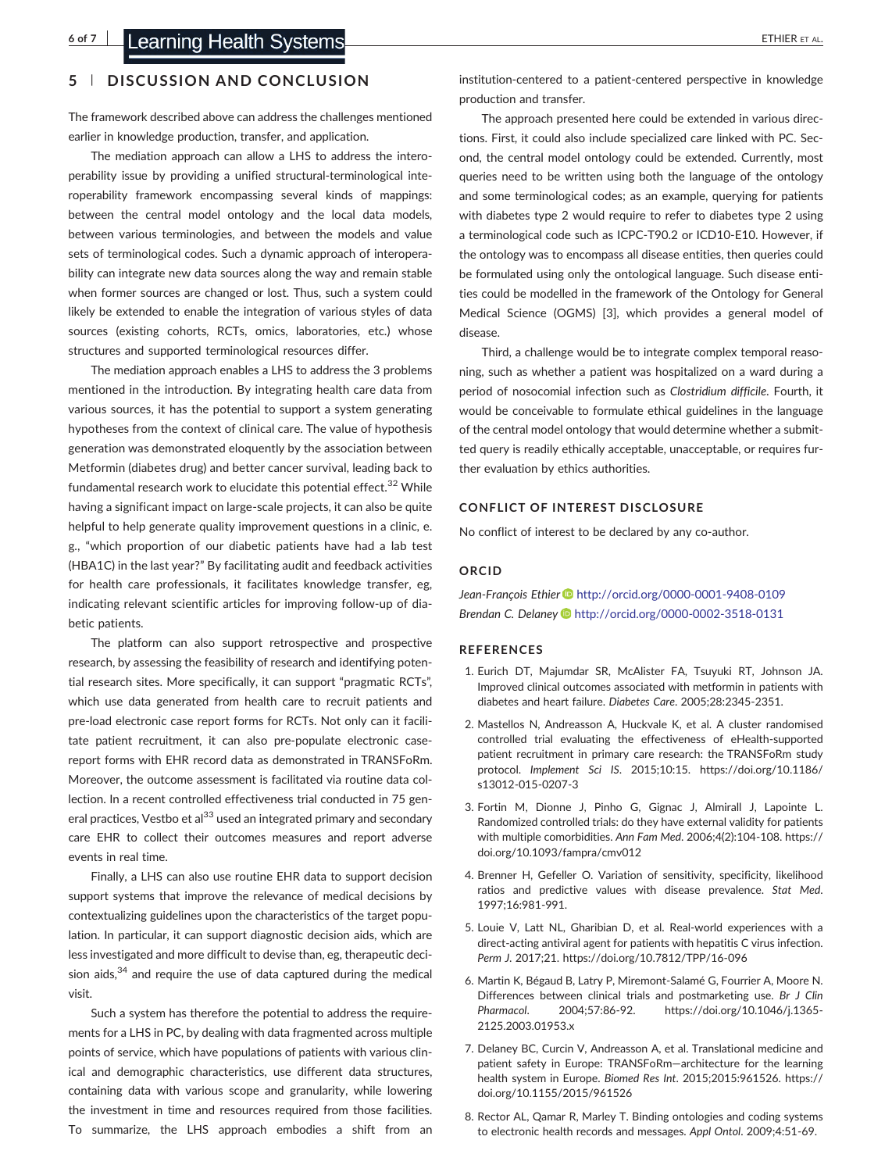## 5 | DISCUSSION AND CONCLUSION

The framework described above can address the challenges mentioned earlier in knowledge production, transfer, and application.

The mediation approach can allow a LHS to address the interoperability issue by providing a unified structural‐terminological interoperability framework encompassing several kinds of mappings: between the central model ontology and the local data models, between various terminologies, and between the models and value sets of terminological codes. Such a dynamic approach of interoperability can integrate new data sources along the way and remain stable when former sources are changed or lost. Thus, such a system could likely be extended to enable the integration of various styles of data sources (existing cohorts, RCTs, omics, laboratories, etc.) whose structures and supported terminological resources differ.

The mediation approach enables a LHS to address the 3 problems mentioned in the introduction. By integrating health care data from various sources, it has the potential to support a system generating hypotheses from the context of clinical care. The value of hypothesis generation was demonstrated eloquently by the association between Metformin (diabetes drug) and better cancer survival, leading back to fundamental research work to elucidate this potential effect.<sup>32</sup> While having a significant impact on large‐scale projects, it can also be quite helpful to help generate quality improvement questions in a clinic, e. g., "which proportion of our diabetic patients have had a lab test (HBA1C) in the last year?" By facilitating audit and feedback activities for health care professionals, it facilitates knowledge transfer, eg, indicating relevant scientific articles for improving follow‐up of diabetic patients.

The platform can also support retrospective and prospective research, by assessing the feasibility of research and identifying potential research sites. More specifically, it can support "pragmatic RCTs", which use data generated from health care to recruit patients and pre-load electronic case report forms for RCTs. Not only can it facilitate patient recruitment, it can also pre‐populate electronic case‐ report forms with EHR record data as demonstrated in TRANSFoRm. Moreover, the outcome assessment is facilitated via routine data collection. In a recent controlled effectiveness trial conducted in 75 general practices, Vestbo et al<sup>33</sup> used an integrated primary and secondary care EHR to collect their outcomes measures and report adverse events in real time.

Finally, a LHS can also use routine EHR data to support decision support systems that improve the relevance of medical decisions by contextualizing guidelines upon the characteristics of the target population. In particular, it can support diagnostic decision aids, which are less investigated and more difficult to devise than, eg, therapeutic decision aids, $34$  and require the use of data captured during the medical visit.

Such a system has therefore the potential to address the requirements for a LHS in PC, by dealing with data fragmented across multiple points of service, which have populations of patients with various clinical and demographic characteristics, use different data structures, containing data with various scope and granularity, while lowering the investment in time and resources required from those facilities. To summarize, the LHS approach embodies a shift from an institution‐centered to a patient‐centered perspective in knowledge production and transfer.

The approach presented here could be extended in various directions. First, it could also include specialized care linked with PC. Second, the central model ontology could be extended. Currently, most queries need to be written using both the language of the ontology and some terminological codes; as an example, querying for patients with diabetes type 2 would require to refer to diabetes type 2 using a terminological code such as ICPC‐T90.2 or ICD10‐E10. However, if the ontology was to encompass all disease entities, then queries could be formulated using only the ontological language. Such disease entities could be modelled in the framework of the Ontology for General Medical Science (OGMS) [3], which provides a general model of disease.

Third, a challenge would be to integrate complex temporal reasoning, such as whether a patient was hospitalized on a ward during a period of nosocomial infection such as Clostridium difficile. Fourth, it would be conceivable to formulate ethical guidelines in the language of the central model ontology that would determine whether a submitted query is readily ethically acceptable, unacceptable, or requires further evaluation by ethics authorities.

#### CONFLICT OF INTEREST DISCLOSURE

No conflict of interest to be declared by any co-author.

#### ORCID

Jean-François Ethier <http://orcid.org/0000-0001-9408-0109> Brendan C. Delaney **b** <http://orcid.org/0000-0002-3518-0131>

#### **REFERENCES**

- 1. Eurich DT, Majumdar SR, McAlister FA, Tsuyuki RT, Johnson JA. Improved clinical outcomes associated with metformin in patients with diabetes and heart failure. Diabetes Care. 2005;28:2345‐2351.
- 2. Mastellos N, Andreasson A, Huckvale K, et al. A cluster randomised controlled trial evaluating the effectiveness of eHealth-supported patient recruitment in primary care research: the TRANSFoRm study protocol. Implement Sci IS. 2015;10:15. [https://doi.org/10.1186/](https://doi.org/10.1186/s13012-015-0207-3) [s13012](https://doi.org/10.1186/s13012-015-0207-3)‐015‐0207‐3
- 3. Fortin M, Dionne J, Pinho G, Gignac J, Almirall J, Lapointe L. Randomized controlled trials: do they have external validity for patients with multiple comorbidities. Ann Fam Med. 2006;4(2):104‐108. [https://](https://doi.org/10.1093/fampra/cmv012) [doi.org/10.1093/fampra/cmv012](https://doi.org/10.1093/fampra/cmv012)
- 4. Brenner H, Gefeller O. Variation of sensitivity, specificity, likelihood ratios and predictive values with disease prevalence. Stat Med. 1997;16:981‐991.
- 5. Louie V, Latt NL, Gharibian D, et al. Real‐world experiences with a direct‐acting antiviral agent for patients with hepatitis C virus infection. Perm J. 2017;21. [https://doi.org/10.7812/TPP/16](https://doi.org/10.7812/TPP/16-096)‐096
- 6. Martin K, Bégaud B, Latry P, Miremont‐Salamé G, Fourrier A, Moore N. Differences between clinical trials and postmarketing use. Br J Clin Pharmacol. 2004;57:86‐92. [https://doi.org/10.1046/j.1365](https://doi.org/10.1046/j.1365-2125.2003.01953.x)‐ [2125.2003.01953.x](https://doi.org/10.1046/j.1365-2125.2003.01953.x)
- 7. Delaney BC, Curcin V, Andreasson A, et al. Translational medicine and patient safety in Europe: TRANSFoRm—architecture for the learning health system in Europe. Biomed Res Int. 2015;2015:961526. [https://](https://doi.org/10.1155/2015/961526) [doi.org/10.1155/2015/961526](https://doi.org/10.1155/2015/961526)
- 8. Rector AL, Qamar R, Marley T. Binding ontologies and coding systems to electronic health records and messages. Appl Ontol. 2009;4:51‐69.